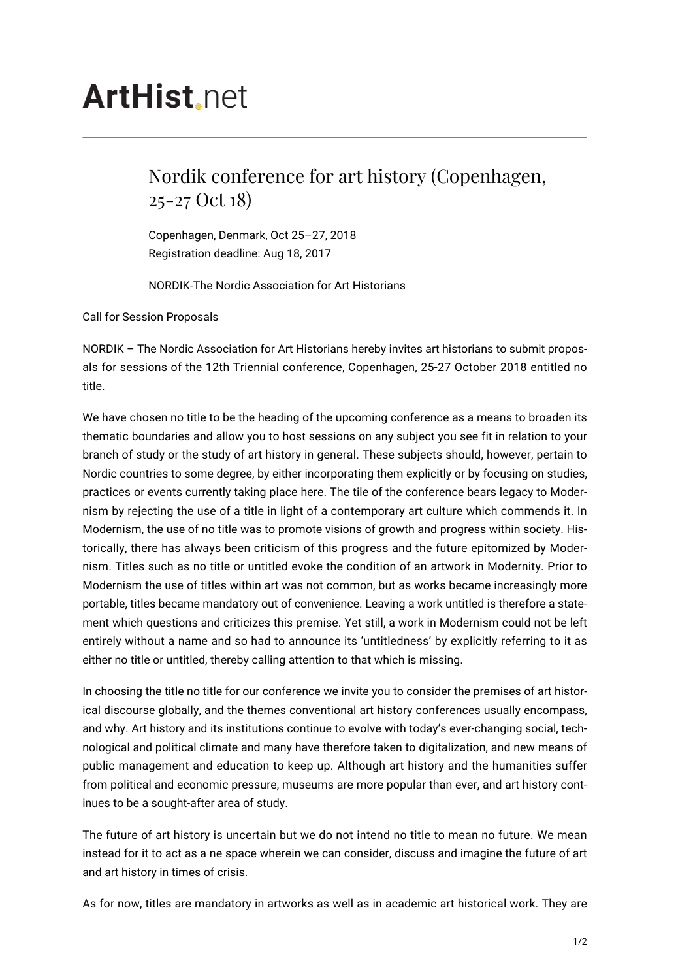## **ArtHist** net

## Nordik conference for art history (Copenhagen, 25-27 Oct 18)

Copenhagen, Denmark, Oct 25–27, 2018 Registration deadline: Aug 18, 2017

NORDIK-The Nordic Association for Art Historians

Call for Session Proposals

NORDIK – The Nordic Association for Art Historians hereby invites art historians to submit proposals for sessions of the 12th Triennial conference, Copenhagen, 25-27 October 2018 entitled no title.

We have chosen no title to be the heading of the upcoming conference as a means to broaden its thematic boundaries and allow you to host sessions on any subject you see fit in relation to your branch of study or the study of art history in general. These subjects should, however, pertain to Nordic countries to some degree, by either incorporating them explicitly or by focusing on studies, practices or events currently taking place here. The tile of the conference bears legacy to Modernism by rejecting the use of a title in light of a contemporary art culture which commends it. In Modernism, the use of no title was to promote visions of growth and progress within society. Historically, there has always been criticism of this progress and the future epitomized by Modernism. Titles such as no title or untitled evoke the condition of an artwork in Modernity. Prior to Modernism the use of titles within art was not common, but as works became increasingly more portable, titles became mandatory out of convenience. Leaving a work untitled is therefore a statement which questions and criticizes this premise. Yet still, a work in Modernism could not be left entirely without a name and so had to announce its 'untitledness' by explicitly referring to it as either no title or untitled, thereby calling attention to that which is missing.

In choosing the title no title for our conference we invite you to consider the premises of art historical discourse globally, and the themes conventional art history conferences usually encompass, and why. Art history and its institutions continue to evolve with today's ever-changing social, technological and political climate and many have therefore taken to digitalization, and new means of public management and education to keep up. Although art history and the humanities suffer from political and economic pressure, museums are more popular than ever, and art history continues to be a sought-after area of study.

The future of art history is uncertain but we do not intend no title to mean no future. We mean instead for it to act as a ne space wherein we can consider, discuss and imagine the future of art and art history in times of crisis.

As for now, titles are mandatory in artworks as well as in academic art historical work. They are